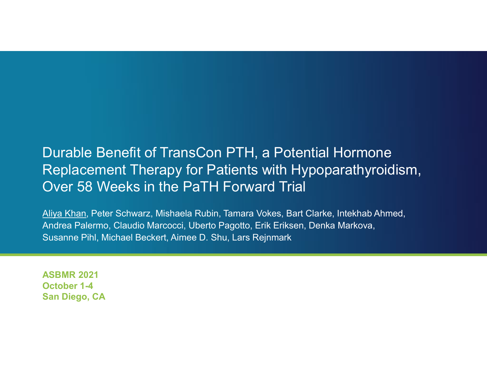# Durable Benefit of TransCon PTH, a Potential Hormone Replacement Therapy for Patients with Hypoparathyroidism, Durable Benefit of TransCon PTH, a Potential Hormone<br>Replacement Therapy for Patients with Hypoparathyroidism,<br>Over 58 Weeks in the PaTH Forward Trial<br>Aliya Khan, Peter Schwarz, Mishaela Rubin, Tamara Vokes, Bart Clarke, I

Aliya Khan, Peter Schwarz, Mishaela Rubin, Tamara Vokes, Bart Clarke, Intekhab Ahmed, Andrea Palermo, Claudio Marcocci, Uberto Pagotto, Erik Eriksen, Denka Markova, Susanne Pihl, Michael Beckert, Aimee D. Shu, Lars Rejnmark

ASBMR 2021 October 1-4 San Diego, CA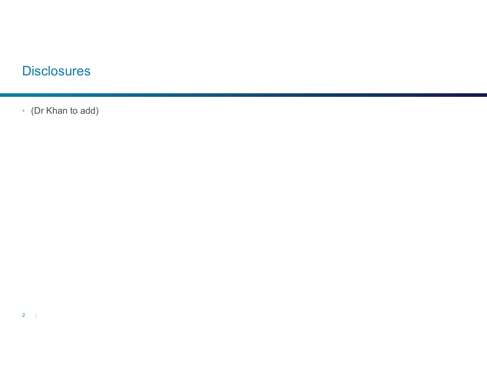# **Disclosures**

• (Dr Khan to add)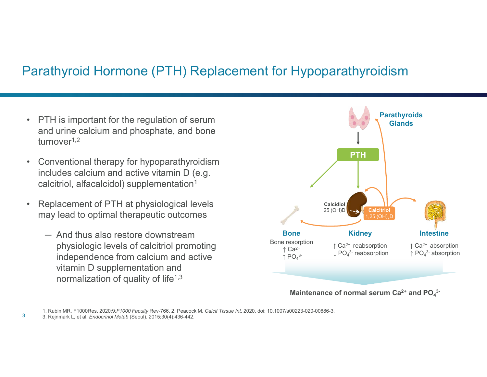### Parathyroid Hormone (PTH) Replacement for Hypoparathyroidism

- Parathyroid Hormone (PTH) Replacement<br>• PTH is important for the regulation of serum<br>and urine calcium and phosphate, and bone<br>turnover<sup>1,2</sup> and urine calcium and phosphate, and bone turnover1,2
- PTH is important for the regulation of serum<br>
 PTH is important for the regulation of serum<br>
and urine calcium and phosphate, and bone<br>
turnover<sup>1,2</sup><br>
 Conventional therapy for hypoparathyroidism<br>
includes calcium and includes calcium and active vitamin D (e.g. calcitriol, alfacalcidol) supplementation1 • PTH is important for the regulation of serum<br>
• PTH is important for the regulation of serum<br>
and urine calcium and phosphate, and bone<br>
turnover<sup>1,2</sup><br>
• Conventional therapy for hypoparathyroidism<br>
includes calcium and
- may lead to optimal therapeutic outcomes
- TH is important for the regulation of serum<br>
a urine calcium and phosphate, and bone<br>
rnover<sup>1,2</sup><br>
onventional therapy for hypoparathyroidism<br>
cludes calcium and active vitamin D (e.g.<br>
alcitriol, alfacalcidol) supplement physiologic levels of calcitriol promoting independence from calcium and active vitamin D supplementation and normalization of quality of life<sup> $1,3$ </sup>



Maintenance of normal serum  $Ca^{2+}$  and  $PO<sub>4</sub>$ <sup>3</sup>-3-

<sup>3 3.</sup> Rejnmark L, et al. Endocrinol Metab (Seoul). 2015;30(4):436-442.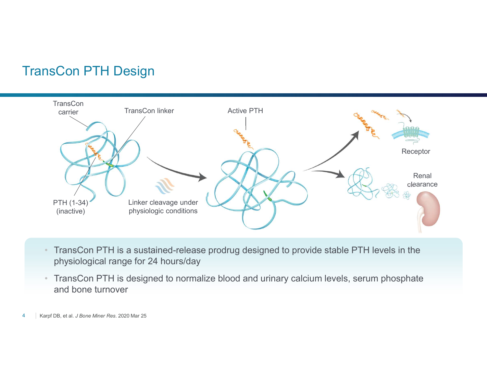### TransCon PTH Design



- TransCon PTH is a sustained-release prodrug designed to provide stable PTH levels in the physiological range for 24 hours/day
- TransCon PTH is designed to normalize blood and urinary calcium levels, serum phosphate and bone turnover
- 4 Karpf DB, et al. J Bone Miner Res. 2020 Mar 25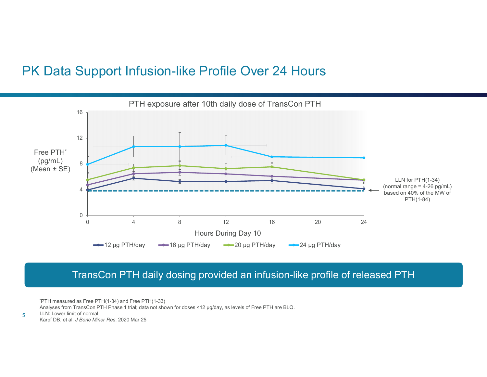### PK Data Support Infusion-like Profile Over 24 Hours



### TransCon PTH daily dosing provided an infusion-like profile of released PTH

\*PTH measured as Free PTH(1-34) and Free PTH(1-33) Analyses from TransCon PTH Phase 1 trial; data not shown for doses <12 µg/day, as levels of Free PTH are BLQ. LLN: Lower limit of normal  $\frac{1}{5}$  LEN: Lower limit of normal<br>Karpf DB, et al. *J Bone Miner Res*. 2020 Mar 25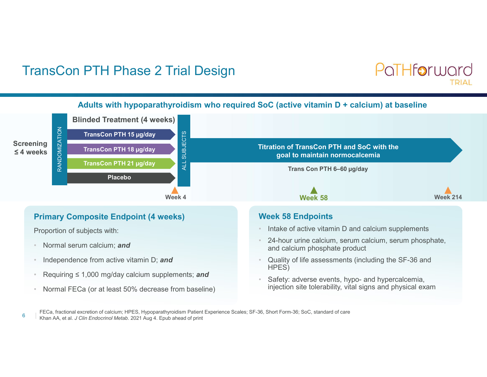### TransCon PTH Phase 2 Trial Design





FECa, fractional excretion of calcium; HPES, Hypoparathyroidism Patient Experience Scales; SF-36, Short Form-36; SoC, standard of care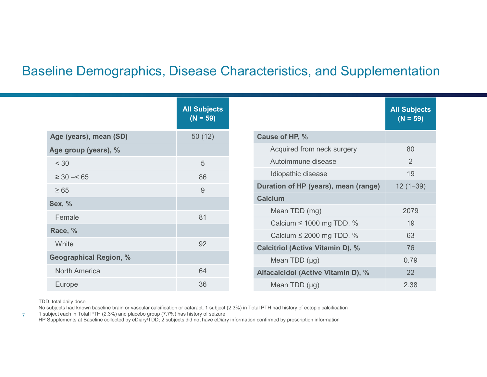### Baseline Demographics, Disease Characteristics, and Supplementation

|                               |                                   | aseline Demographics, Disease Characteristics, and Supplementation |                                   |
|-------------------------------|-----------------------------------|--------------------------------------------------------------------|-----------------------------------|
|                               |                                   |                                                                    |                                   |
|                               |                                   |                                                                    |                                   |
|                               | <b>All Subjects</b><br>$(N = 59)$ |                                                                    | <b>All Subjects</b><br>$(N = 59)$ |
| Age (years), mean (SD)        | 50(12)                            | Cause of HP, %                                                     |                                   |
| Age group (years), %          |                                   | Acquired from neck surgery                                         | 80                                |
| < 30                          | $5\overline{)}$                   | Autoimmune disease                                                 | $\overline{2}$                    |
| $\geq 30 - 65$                | 86                                | Idiopathic disease                                                 | 19                                |
| $\geq 65$                     | $9$                               | Duration of HP (years), mean (range)                               | $12(1-39)$                        |
| <b>Sex, %</b>                 |                                   | <b>Calcium</b>                                                     |                                   |
| Female                        | 81                                | Mean TDD (mg)                                                      | 2079                              |
| Race, %                       |                                   | Calcium $\leq$ 1000 mg TDD, %                                      | 19                                |
| White                         | 92                                | Calcium $\leq$ 2000 mg TDD, %                                      | 63                                |
|                               |                                   | <b>Calcitriol (Active Vitamin D), %</b>                            | 76                                |
| <b>Geographical Region, %</b> |                                   | Mean TDD (µg)                                                      | 0.79                              |
| <b>North America</b>          | 64                                | Alfacalcidol (Active Vitamin D), %                                 | 22                                |
| Europe                        | 36                                | Mean TDD (µg)                                                      | 2.38                              |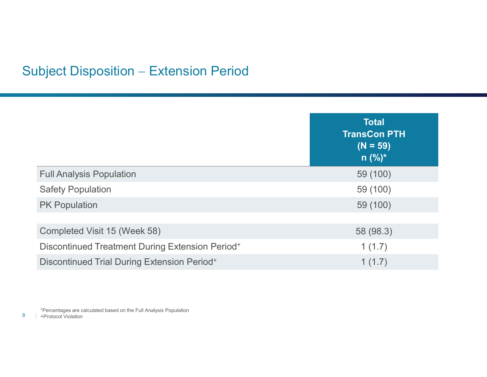# Subject Disposition - Extension Period

| ubject Disposition - Extension Period                       |                                                                |
|-------------------------------------------------------------|----------------------------------------------------------------|
|                                                             | <b>Total</b><br><b>TransCon PTH</b><br>$(N = 59)$<br>$n (%)^*$ |
| <b>Full Analysis Population</b>                             | 59 (100)                                                       |
| <b>Safety Population</b>                                    | 59 (100)                                                       |
| <b>PK Population</b>                                        | 59 (100)                                                       |
|                                                             |                                                                |
| Completed Visit 15 (Week 58)                                | 58 (98.3)                                                      |
| Discontinued Treatment During Extension Period <sup>+</sup> | 1(1.7)                                                         |
| <b>Discontinued Trial During Extension Period+</b>          | 1(1.7)                                                         |

8 + Protocol Violation \*Percentages are calculated based on the Full Analysis Population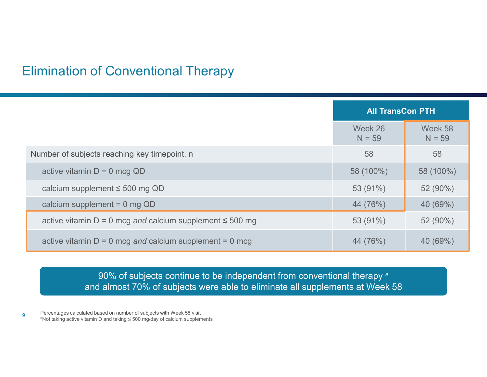### Elimination of Conventional Therapy

|                                                                 |                     | <b>All TransCon PTH</b> |
|-----------------------------------------------------------------|---------------------|-------------------------|
|                                                                 | Week 26<br>$N = 59$ | Week 58<br>$N = 59$     |
| Number of subjects reaching key timepoint, n                    | 58                  | 58                      |
| active vitamin $D = 0$ mcg QD                                   | 58 (100%)           | 58 (100%)               |
| calcium supplement $\leq$ 500 mg QD                             | 53 (91%)            | 52 (90%)                |
| calcium supplement = $0$ mg QD                                  | 44 (76%)            | 40 (69%)                |
| active vitamin $D = 0$ mcg and calcium supplement $\leq 500$ mg | 53 (91%)            | 52 (90%)                |
| active vitamin $D = 0$ mcg and calcium supplement = 0 mcg       | 44 (76%)            | 40 (69%)                |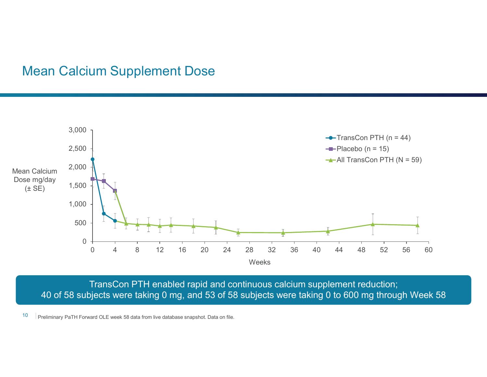### Mean Calcium Supplement Dose



TransCon PTH enabled rapid and continuous calcium supplement reduction; 40 of 58 subjects were taking 0 mg, and 53 of 58 subjects were taking 0 to 600 mg through Week 58

10 Preliminary PaTH Forward OLE week 58 data from live database snapshot. Data on file.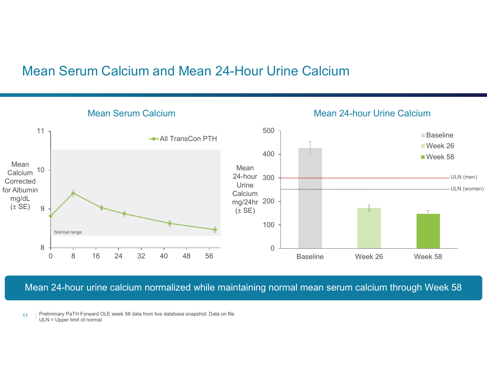### Mean Serum Calcium and Mean 24-Hour Urine Calcium



Mean 24-hour urine calcium normalized while maintaining normal mean serum calcium through Week 58

11 | Preliminary PaTH Forward OLE week 58 data from live database snapshot. Data on file ULN = Upper limit of normal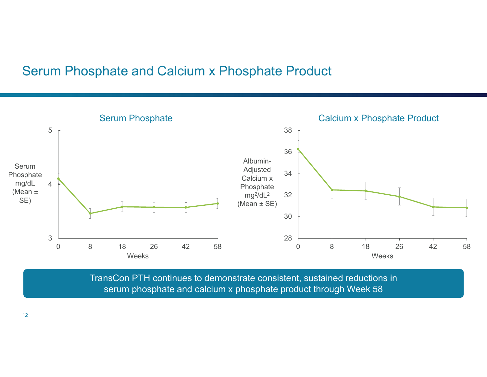### Serum Phosphate and Calcium x Phosphate Product



TransCon PTH continues to demonstrate consistent, sustained reductions in serum phosphate and calcium x phosphate product through Week 58

 $12$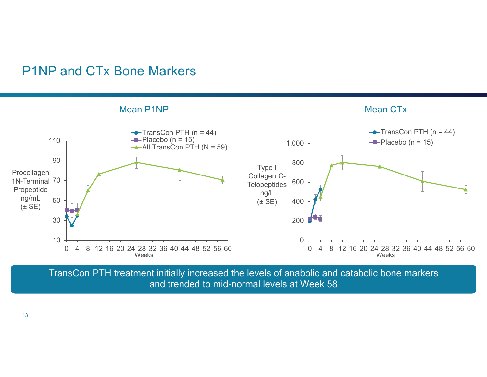

TransCon PTH treatment initially increased the levels of anabolic and catabolic bone markers and trended to mid-normal levels at Week 58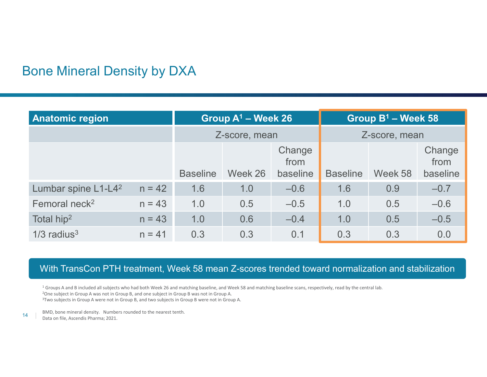### Bone Mineral Density by DXA

| <b>Bone Mineral Density by DXA</b> |          |                        |                                |                    |                        |                                |                    |
|------------------------------------|----------|------------------------|--------------------------------|--------------------|------------------------|--------------------------------|--------------------|
|                                    |          |                        |                                |                    |                        |                                |                    |
|                                    |          |                        |                                |                    |                        |                                |                    |
|                                    |          |                        |                                |                    |                        |                                |                    |
|                                    |          |                        |                                |                    |                        |                                |                    |
|                                    |          |                        |                                |                    |                        |                                |                    |
| <b>Anatomic region</b>             |          |                        | Group A <sup>1</sup> - Week 26 |                    |                        | Group B <sup>1</sup> - Week 58 |                    |
|                                    |          | Z-score, mean          |                                | Z-score, mean      |                        |                                |                    |
|                                    |          |                        |                                |                    |                        |                                |                    |
|                                    |          |                        |                                | Change<br>from     |                        |                                | Change<br>from     |
| Lumbar spine L1-L4 <sup>2</sup>    | $n = 42$ | <b>Baseline</b><br>1.6 | Week 26<br>1.0                 | baseline<br>$-0.6$ | <b>Baseline</b><br>1.6 | Week 58<br>0.9                 | baseline<br>$-0.7$ |
| Femoral neck <sup>2</sup>          | $n = 43$ | 1.0                    | 0.5                            | $-0.5$             | 1.0                    | 0.5                            | $-0.6$             |
| Total hip <sup>2</sup>             | $n = 43$ | 1.0                    | 0.6                            | $-0.4$             | 1.0                    | 0.5                            | $-0.5$             |

### With TransCon PTH treatment, Week 58 mean Z-scores trended toward normalization and stabilization

<sup>1</sup> Groups A and B included all subjects who had both Week 26 and matching baseline, and Week 58 and matching baseline scans, respectively, read by the central lab.<br><sup>2</sup>One subject in Group A was not in Group B, and one sub <sup>3</sup>Two subjects in Group A were not in Group B, and two subjects in Group B were not in Group A.

14 Data on file, Ascendis Pharma; 2021. BMD, bone mineral density. Numbers rounded to the nearest tenth.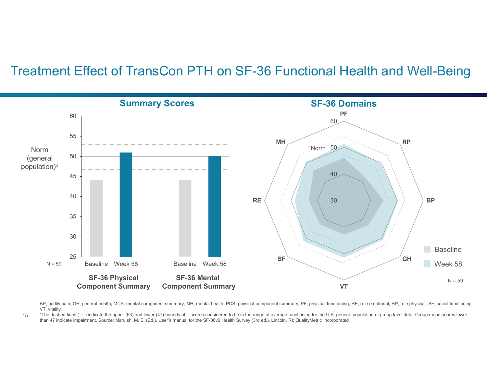### Treatment Effect of TransCon PTH on SF-36 Functional Health and Well-Being



BP, bodily pain; GH, general health; MCS, mental component summary; MH, mental health; PCS, physical component summary; PF, physical functioning; RE, role emotional; RP, role physical; SF, social functioning;

The dashed lines (----) indicate the upper (53) and lower (47) bounds of T scores considered to be in the range of average functioning for the U.S. general population of group level data. Group mean scores lower than 47 in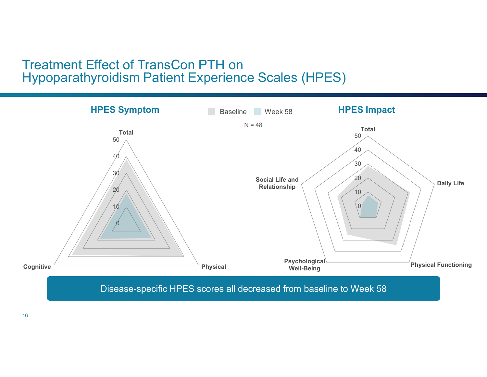### Treatment Effect of TransCon PTH on Hypoparathyroidism Patient Experience Scales (HPES)



 $16$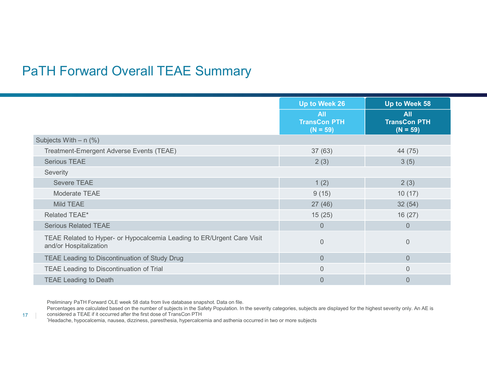|                                                                                                  | Up to Week 26<br><b>All</b><br><b>TransCon PTH</b><br>$(N = 59)$ | Up to Week 58<br><b>All</b><br><b>TransCon PTH</b><br>$(N = 59)$ |
|--------------------------------------------------------------------------------------------------|------------------------------------------------------------------|------------------------------------------------------------------|
| Subjects With $- n$ (%)                                                                          |                                                                  |                                                                  |
| Treatment-Emergent Adverse Events (TEAE)                                                         | 37(63)                                                           | 44 (75)                                                          |
| <b>Serious TEAE</b>                                                                              | 2(3)                                                             | 3(5)                                                             |
| Severity                                                                                         |                                                                  |                                                                  |
| Severe TEAE                                                                                      | 1(2)                                                             | 2(3)                                                             |
| Moderate TEAE                                                                                    | 9(15)                                                            | 10(17)                                                           |
| Mild TEAE                                                                                        | 27(46)                                                           | 32(54)                                                           |
| Related TEAE*                                                                                    | 15(25)                                                           | 16(27)                                                           |
| <b>Serious Related TEAE</b>                                                                      | $\overline{0}$                                                   | $\overline{0}$                                                   |
|                                                                                                  |                                                                  |                                                                  |
| TEAE Related to Hyper- or Hypocalcemia Leading to ER/Urgent Care Visit<br>and/or Hospitalization | $\overline{0}$                                                   | $\overline{0}$                                                   |
| TEAE Leading to Discontinuation of Study Drug                                                    | $\overline{0}$                                                   | $\overline{0}$                                                   |
| TEAE Leading to Discontinuation of Trial                                                         | $\overline{0}$                                                   | $\overline{0}$                                                   |